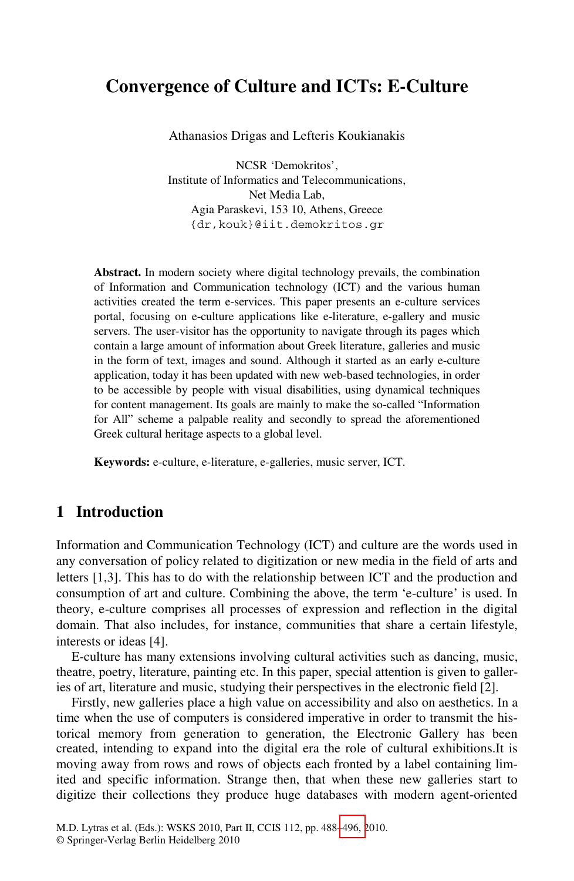### **Convergence of Culture and ICTs: E-Culture**

Athanasios Drigas and Lefteris Koukianakis

NCSR 'Demokritos', Institute of Informatics and Telecommunications, Net Media Lab, Agia Paraskevi, 153 10, Athens, Greece {dr,kouk}@iit.demokritos.gr

**Abstract.** In modern society where digital technology prevails, the combination of Information and Communication technology (ICT) and the various human activities created the term e-services. This paper presents an e-culture services portal, focusing on e-culture applications like e-literature, e-gallery and music servers. The user-visitor has the opportunity to navigate through its pages which contain a large amount of information about Greek literature, galleries and music in the form of text, images and sound. Although it started as an early e-culture application, today it has been updated with new web-based technologies, in order to be accessible by people with visual disabilities, using dynamical techniques for content management. Its goals are mainly to make the so-called "Information for All" scheme a palpable reality and secondly to spread the aforementioned Greek cultural heritage aspects to a global level.

**Keywords:** e-culture, e-literature, e-galleries, music server, ICT.

#### **1 Introduction**

Information and Communication Technology (ICT) and culture are the words used in any conversation of policy related to digitization or new media in the field of arts and letters [1,3]. This has to do with the relationship between ICT and the production and consumption of art and culture. Combining the above, the term 'e-culture' is used. In theory, e-culture comprises all processes of expression and reflection in the digital domain. That also includes, for instance, communities that share a certain lifestyle, interests or ideas [4].

E-culture has many extensions involving cultural activities such as dancing, music, theatre, poetry, literature, painting etc. In this paper, special attention is given to galleries of art, literature and music, studying their perspectives in the electronic field [2].

Firstly, new galleries place a [high](#page-8-0) value on accessibility and also on aesthetics. In a time when the use of computers is considered imperative in order to transmit the historical memory from generation to generation, the Electronic Gallery has been created, intending to expand into the digital era the role of cultural exhibitions.It is moving away from rows and rows of objects each fronted by a label containing limited and specific information. Strange then, that when these new galleries start to digitize their collections they produce huge databases with modern agent-oriented

M.D. Lytras et al. (Eds.): WSKS 2010, Part II, CCIS 112, pp. 488–496, 2010. © Springer-Verlag Berlin Heidelberg 2010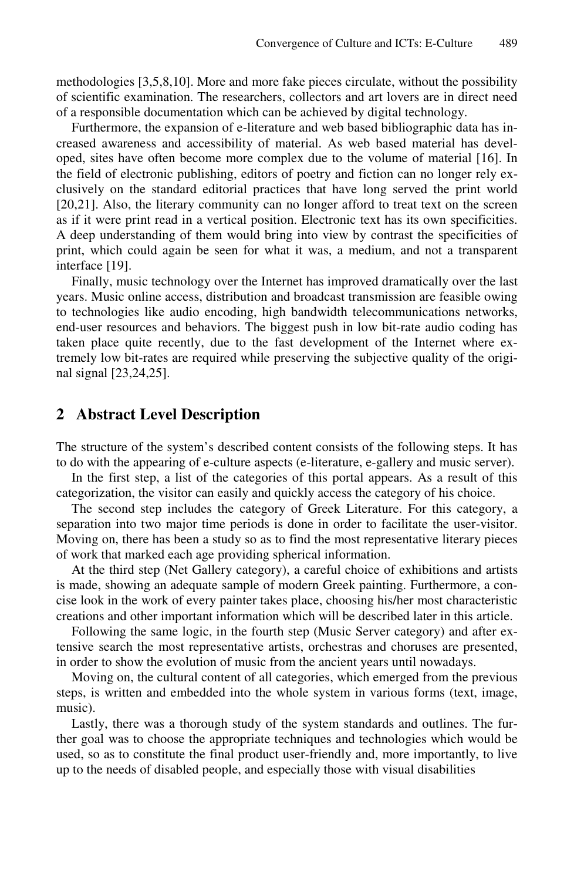methodologies [3,5,8,10]. More and more fake pieces circulate, without the possibility of scientific examination. The researchers, collectors and art lovers are in direct need of a responsible documentation which can be achieved by digital technology.

Furthermore, the expansion of e-literature and web based bibliographic data has increased awareness and accessibility of material. As web based material has developed, sites have often become more complex due to the volume of material [16]. In the field of electronic publishing, editors of poetry and fiction can no longer rely exclusively on the standard editorial practices that have long served the print world [20,21]. Also, the literary community can no longer afford to treat text on the screen as if it were print read in a vertical position. Electronic text has its own specificities. A deep understanding of them would bring into view by contrast the specificities of print, which could again be seen for what it was, a medium, and not a transparent interface [19].

Finally, music technology over the Internet has improved dramatically over the last years. Music online access, distribution and broadcast transmission are feasible owing to technologies like audio encoding, high bandwidth telecommunications networks, end-user resources and behaviors. The biggest push in low bit-rate audio coding has taken place quite recently, due to the fast development of the Internet where extremely low bit-rates are required while preserving the subjective quality of the original signal [23,24,25].

#### **2 Abstract Level Description**

The structure of the system's described content consists of the following steps. It has to do with the appearing of e-culture aspects (e-literature, e-gallery and music server).

In the first step, a list of the categories of this portal appears. As a result of this categorization, the visitor can easily and quickly access the category of his choice.

The second step includes the category of Greek Literature. For this category, a separation into two major time periods is done in order to facilitate the user-visitor. Moving on, there has been a study so as to find the most representative literary pieces of work that marked each age providing spherical information.

At the third step (Net Gallery category), a careful choice of exhibitions and artists is made, showing an adequate sample of modern Greek painting. Furthermore, a concise look in the work of every painter takes place, choosing his/her most characteristic creations and other important information which will be described later in this article.

Following the same logic, in the fourth step (Music Server category) and after extensive search the most representative artists, orchestras and choruses are presented, in order to show the evolution of music from the ancient years until nowadays.

Moving on, the cultural content of all categories, which emerged from the previous steps, is written and embedded into the whole system in various forms (text, image, music).

Lastly, there was a thorough study of the system standards and outlines. The further goal was to choose the appropriate techniques and technologies which would be used, so as to constitute the final product user-friendly and, more importantly, to live up to the needs of disabled people, and especially those with visual disabilities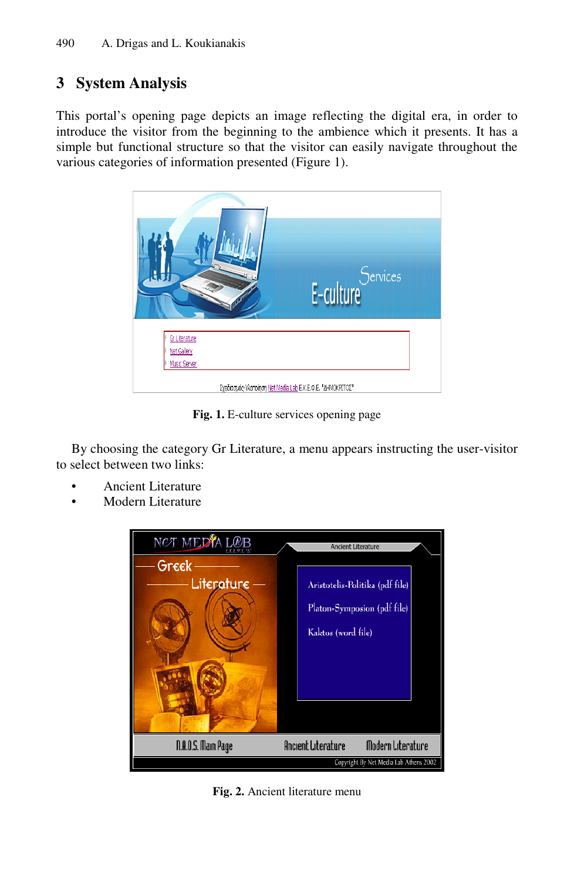# **3 System Analysis**

This portal's opening page depicts an image reflecting the digital era, in order to introduce the visitor from the beginning to the ambience which it presents. It has a simple but functional structure so that the visitor can easily navigate throughout the various categories of information presented (Figure 1).



**Fig. 1.** E-culture services opening page

By choosing the category Gr Literature, a menu appears instructing the user-visitor to select between two links:

- Ancient Literature
- Modern Literature



**Fig. 2.** Ancient literature menu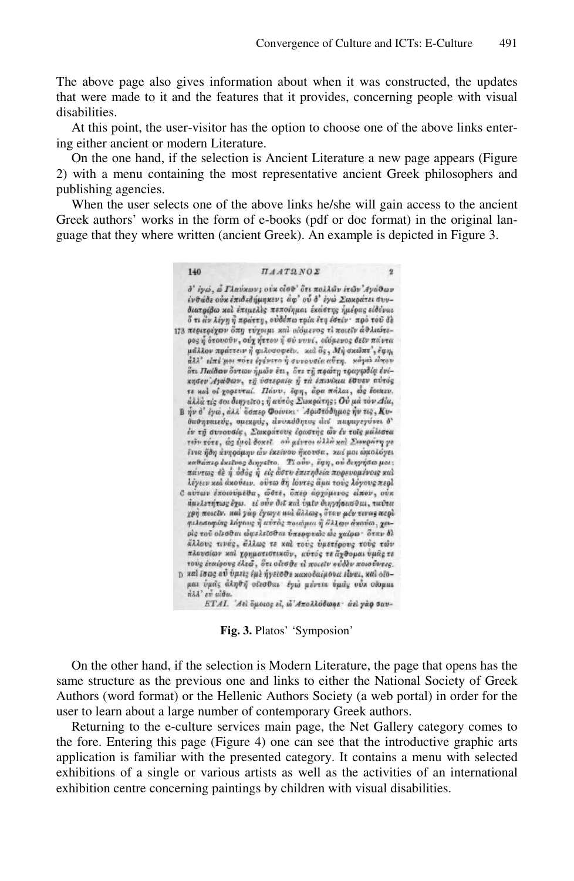The above page also gives information about when it was constructed, the updates that were made to it and the features that it provides, concerning people with visual disabilities.

At this point, the user-visitor has the option to choose one of the above links entering either ancient or modern Literature.

On the one hand, if the selection is Ancient Literature a new page appears (Figure 2) with a menu containing the most representative ancient Greek philosophers and publishing agencies.

When the user selects one of the above links he/she will gain access to the ancient Greek authors' works in the form of e-books (pdf or doc format) in the original language that they where written (ancient Greek). An example is depicted in Figure 3.

> 140  $\pi$ ATQNOE  $\ddot{\mathbf{a}}$ δ' ίγιο, ο Γλαύκων; ούκ οίσο' δει πολλών ιεών' Αγώθων ενθάδε ούκ έπιδεδήμηκεν; άφ' ού δ' έγω Σωκράτει συνδιατρίβω και έπιμελίς πεποίημαι έκαστης ημέρας είδεναι δ τι άν λίγη ή πράττη, ουδέπω τρία έτη έστιν· πρό του δέ 173 περιερέχου δαη τύχοιμι και οιόμενος τι ποιεϊν άθλιώτιρος ή ότουούν, ούχ ήττον ή σύ νυνί, οιόμενος δεϊν πάντα μάλλον πράττειν ή φιλοσοφείν. καί ός, Μή σκιόπτ', έφη, άλλ' είπε μοι πότε έγένττο ή συνουσία αύτη. Νόμο είπου ότι Παίδαν δυτων ήμών έτι, ότι τη πρώτη τραγφδία ένικησευ Αγάθων, τη υστερεία ή τα επινόεια έθυεν αυτός τε και οι χορευταί. Πάνυ, έφη, έρα πάλαι, ως έοικεν. άλλά τις σοι διηγείτο; ή αύτος Σωκράτης; Ού μά τον Δία, Β ήν δ' έγω, αλλ' όσπερ Φούνικι 'Αριοτόδημος ήν τις, Κυδαθηναιεύς, ομεκρός, είνοκοθητος είτε πειραγεγόνει δ' ίν τη συνουσίε, Σωκράτους έραστής ών έν τοις μάλιστα του τότε, ως έμοι δοκεϊ ού μέντοι όλλο και Σωκράτη με ένια ήδη άνηφόμην ών έκείνου ήκουσα, και μοι ώμολόγει καθάπερ έκετνος διηγείτο. Τί ούν, έφη, ού διηγήσω μοι: πάντως δε ή όδος ή είς άστυ έπιτηδεία πορευομένοις και λέγειν και άκούειν. ούτω ση Ιόντες άμα τους λόγους περί ζ αύτων έποιούμεθα, ώστε, όπερ άρχύμινος είπον, ούκ αμελετήτως έχω. εί ούν θεϊ και ύμεν διηγήσαυθαι, τα θτα χρή ποιεδν. από γάρ έγωγε από άλλως, όταν μέν τανας περί φελοσοφίας λόγους ή αύτος ποιώμια ή όλλων άκούω, χαρίς του οίκοθαι εδφελείοθαι ύπερφυείς εδε χαίρω · δταν δλ άλλους τινάς, άλλως τε και τους υμετίρους τους τών πλουσίων και χρηματιστικών, αυτός τε άχθομαι υμάς τε τους έταιρους έλει, ότι οικούε τι ποιείν ούδεν ποιούντες. D nal lowe av buste int hystode nanodainova sivas, nai ofoμαι ύμας άληθη οίκοθαι έγω μέντηι ύμας ούκ οίομαι ndd' en aidu. ΕΤΑΙ. 'Αεί δμοιος εί, οι Απολλόδωφε · άει γάρ σαυ-

**Fig. 3.** Platos' 'Symposion'

On the other hand, if the selection is Modern Literature, the page that opens has the same structure as the previous one and links to either the National Society of Greek Authors (word format) or the Hellenic Authors Society (a web portal) in order for the user to learn about a large number of contemporary Greek authors.

Returning to the e-culture services main page, the Net Gallery category comes to the fore. Entering this page (Figure 4) one can see that the introductive graphic arts application is familiar with the presented category. It contains a menu with selected exhibitions of a single or various artists as well as the activities of an international exhibition centre concerning paintings by children with visual disabilities.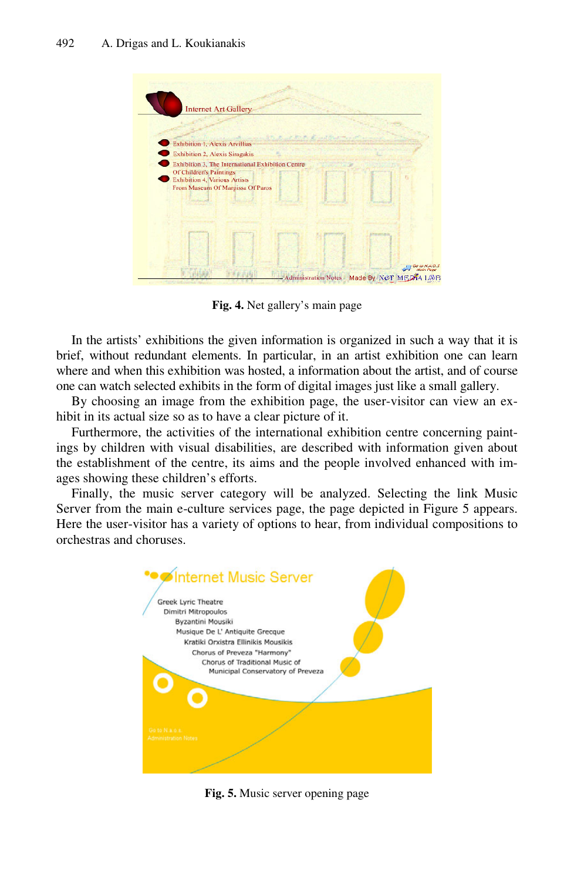

**Fig. 4.** Net gallery's main page

In the artists' exhibitions the given information is organized in such a way that it is brief, without redundant elements. In particular, in an artist exhibition one can learn where and when this exhibition was hosted, a information about the artist, and of course one can watch selected exhibits in the form of digital images just like a small gallery.

By choosing an image from the exhibition page, the user-visitor can view an exhibit in its actual size so as to have a clear picture of it.

Furthermore, the activities of the international exhibition centre concerning paintings by children with visual disabilities, are described with information given about the establishment of the centre, its aims and the people involved enhanced with images showing these children's efforts.

Finally, the music server category will be analyzed. Selecting the link Music Server from the main e-culture services page, the page depicted in Figure 5 appears. Here the user-visitor has a variety of options to hear, from individual compositions to orchestras and choruses.



**Fig. 5.** Music server opening page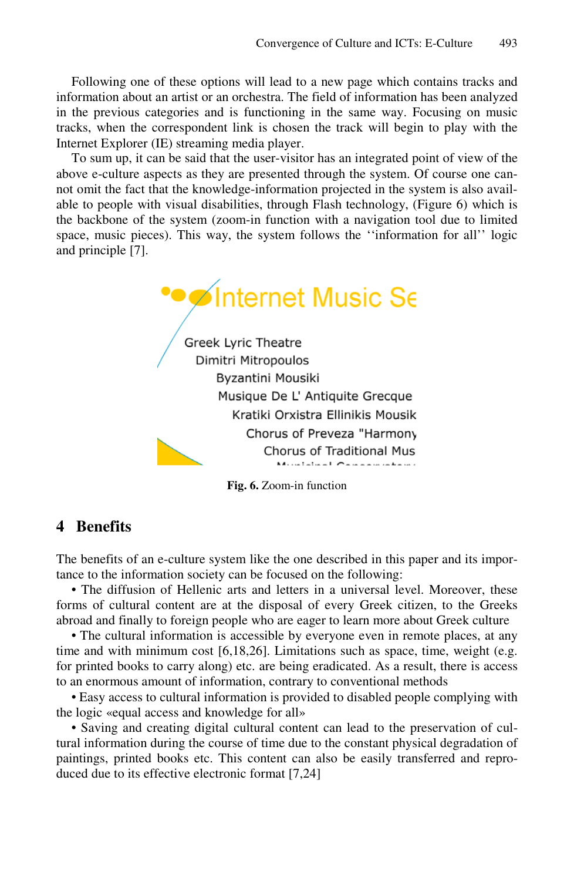Following one of these options will lead to a new page which contains tracks and information about an artist or an orchestra. The field of information has been analyzed in the previous categories and is functioning in the same way. Focusing on music tracks, when the correspondent link is chosen the track will begin to play with the Internet Explorer (IE) streaming media player.

To sum up, it can be said that the user-visitor has an integrated point of view of the above e-culture aspects as they are presented through the system. Of course one cannot omit the fact that the knowledge-information projected in the system is also available to people with visual disabilities, through Flash technology, (Figure 6) which is the backbone of the system (zoom-in function with a navigation tool due to limited space, music pieces). This way, the system follows the ''information for all'' logic and principle [7].



**Fig. 6.** Zoom-in function

#### **4 Benefits**

The benefits of an e-culture system like the one described in this paper and its importance to the information society can be focused on the following:

• The diffusion of Hellenic arts and letters in a universal level. Moreover, these forms of cultural content are at the disposal of every Greek citizen, to the Greeks abroad and finally to foreign people who are eager to learn more about Greek culture

• The cultural information is accessible by everyone even in remote places, at any time and with minimum cost [6,18,26]. Limitations such as space, time, weight (e.g. for printed books to carry along) etc. are being eradicated. As a result, there is access to an enormous amount of information, contrary to conventional methods

• Easy access to cultural information is provided to disabled people complying with the logic «equal access and knowledge for all»

• Saving and creating digital cultural content can lead to the preservation of cultural information during the course of time due to the constant physical degradation of paintings, printed books etc. This content can also be easily transferred and reproduced due to its effective electronic format [7,24]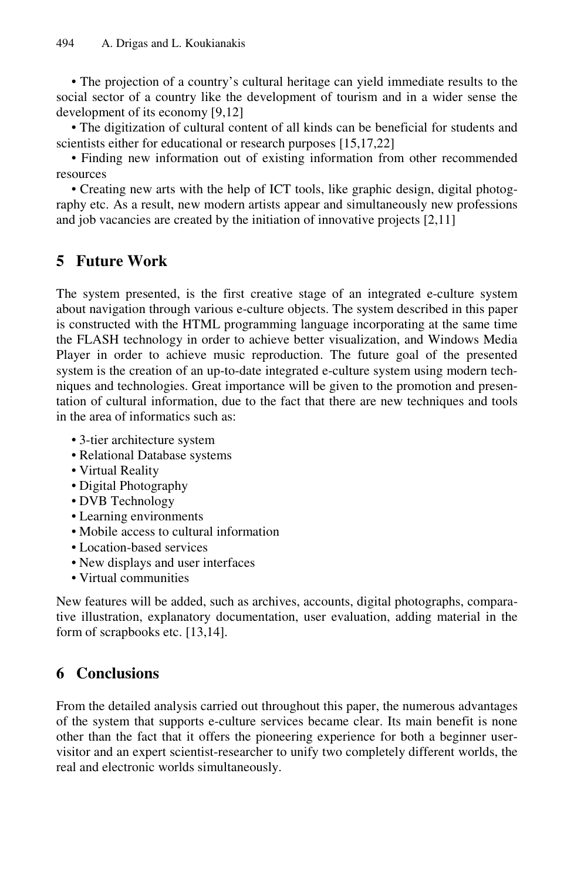• The projection of a country's cultural heritage can yield immediate results to the social sector of a country like the development of tourism and in a wider sense the development of its economy [9,12]

• The digitization of cultural content of all kinds can be beneficial for students and scientists either for educational or research purposes [15,17,22]

• Finding new information out of existing information from other recommended resources

• Creating new arts with the help of ICT tools, like graphic design, digital photography etc. As a result, new modern artists appear and simultaneously new professions and job vacancies are created by the initiation of innovative projects [2,11]

## **5 Future Work**

The system presented, is the first creative stage of an integrated e-culture system about navigation through various e-culture objects. The system described in this paper is constructed with the HTML programming language incorporating at the same time the FLASH technology in order to achieve better visualization, and Windows Media Player in order to achieve music reproduction. The future goal of the presented system is the creation of an up-to-date integrated e-culture system using modern techniques and technologies. Great importance will be given to the promotion and presentation of cultural information, due to the fact that there are new techniques and tools in the area of informatics such as:

- 3-tier architecture system
- Relational Database systems
- Virtual Reality
- Digital Photography
- DVB Technology
- Learning environments
- Mobile access to cultural information
- Location-based services
- New displays and user interfaces
- Virtual communities

New features will be added, such as archives, accounts, digital photographs, comparative illustration, explanatory documentation, user evaluation, adding material in the form of scrapbooks etc. [13,14].

### **6 Conclusions**

From the detailed analysis carried out throughout this paper, the numerous advantages of the system that supports e-culture services became clear. Its main benefit is none other than the fact that it offers the pioneering experience for both a beginner uservisitor and an expert scientist-researcher to unify two completely different worlds, the real and electronic worlds simultaneously.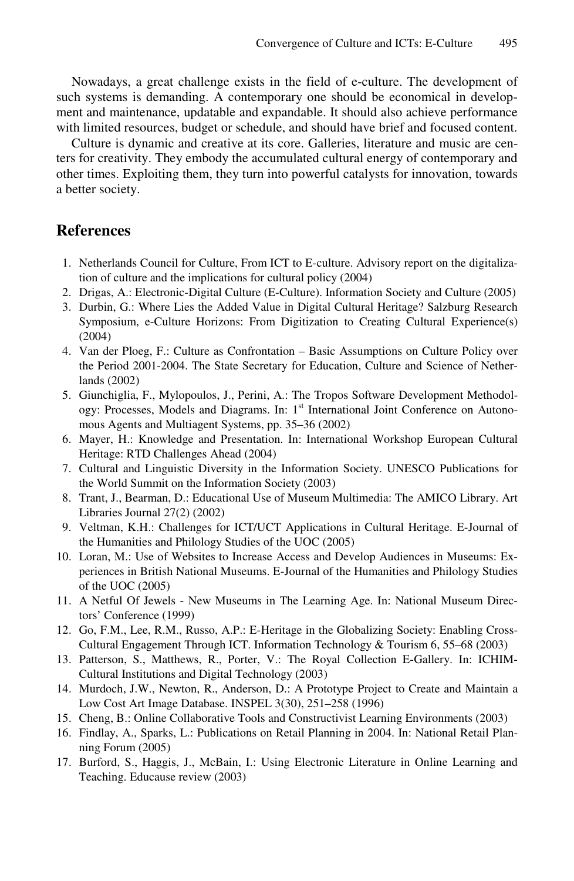Nowadays, a great challenge exists in the field of e-culture. The development of such systems is demanding. A contemporary one should be economical in development and maintenance, updatable and expandable. It should also achieve performance with limited resources, budget or schedule, and should have brief and focused content.

Culture is dynamic and creative at its core. Galleries, literature and music are centers for creativity. They embody the accumulated cultural energy of contemporary and other times. Exploiting them, they turn into powerful catalysts for innovation, towards a better society.

#### **References**

- 1. Netherlands Council for Culture, From ICT to E-culture. Advisory report on the digitalization of culture and the implications for cultural policy (2004)
- 2. Drigas, A.: Electronic-Digital Culture (E-Culture). Information Society and Culture (2005)
- 3. Durbin, G.: Where Lies the Added Value in Digital Cultural Heritage? Salzburg Research Symposium, e-Culture Horizons: From Digitization to Creating Cultural Experience(s) (2004)
- 4. Van der Ploeg, F.: Culture as Confrontation Basic Assumptions on Culture Policy over the Period 2001-2004. The State Secretary for Education, Culture and Science of Netherlands (2002)
- 5. Giunchiglia, F., Mylopoulos, J., Perini, A.: The Tropos Software Development Methodology: Processes, Models and Diagrams. In:  $1<sup>st</sup>$  International Joint Conference on Autonomous Agents and Multiagent Systems, pp. 35–36 (2002)
- 6. Mayer, H.: Knowledge and Presentation. In: International Workshop European Cultural Heritage: RTD Challenges Ahead (2004)
- 7. Cultural and Linguistic Diversity in the Information Society. UNESCO Publications for the World Summit on the Information Society (2003)
- 8. Trant, J., Bearman, D.: Educational Use of Museum Multimedia: The AMICO Library. Art Libraries Journal 27(2) (2002)
- 9. Veltman, K.H.: Challenges for ICT/UCT Applications in Cultural Heritage. E-Journal of the Humanities and Philology Studies of the UOC (2005)
- 10. Loran, M.: Use of Websites to Increase Access and Develop Audiences in Museums: Experiences in British National Museums. E-Journal of the Humanities and Philology Studies of the UOC (2005)
- 11. A Netful Of Jewels New Museums in The Learning Age. In: National Museum Directors' Conference (1999)
- 12. Go, F.M., Lee, R.M., Russo, A.P.: E-Heritage in the Globalizing Society: Enabling Cross-Cultural Engagement Through ICT. Information Technology & Tourism 6, 55–68 (2003)
- 13. Patterson, S., Matthews, R., Porter, V.: The Royal Collection E-Gallery. In: ICHIM-Cultural Institutions and Digital Technology (2003)
- 14. Murdoch, J.W., Newton, R., Anderson, D.: A Prototype Project to Create and Maintain a Low Cost Art Image Database. INSPEL 3(30), 251–258 (1996)
- 15. Cheng, B.: Online Collaborative Tools and Constructivist Learning Environments (2003)
- 16. Findlay, A., Sparks, L.: Publications on Retail Planning in 2004. In: National Retail Planning Forum (2005)
- 17. Burford, S., Haggis, J., McBain, I.: Using Electronic Literature in Online Learning and Teaching. Educause review (2003)